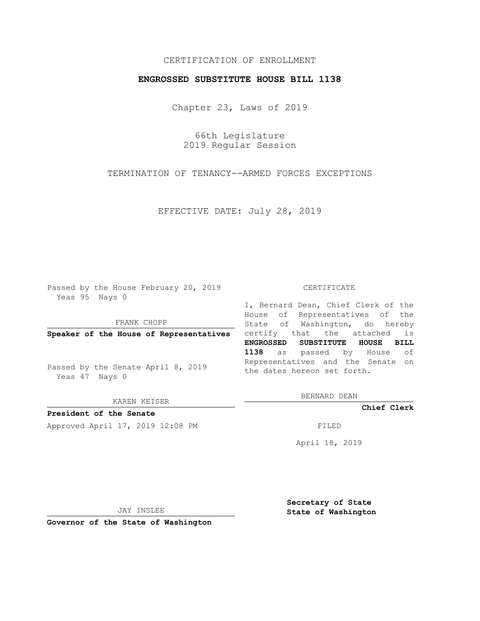# CERTIFICATION OF ENROLLMENT

## **ENGROSSED SUBSTITUTE HOUSE BILL 1138**

Chapter 23, Laws of 2019

66th Legislature 2019 Regular Session

TERMINATION OF TENANCY--ARMED FORCES EXCEPTIONS

EFFECTIVE DATE: July 28, 2019

Passed by the House February 20, 2019 Yeas 95 Nays 0

FRANK CHOPP

Passed by the Senate April 8, 2019 Yeas 47 Nays 0

KAREN KEISER

**President of the Senate**

Approved April 17, 2019 12:08 PM FILED

#### CERTIFICATE

**Speaker of the House of Representatives** certify that the attached is I, Bernard Dean, Chief Clerk of the House of Representatives of the State of Washington, do hereby **ENGROSSED SUBSTITUTE HOUSE BILL 1138** as passed by House of Representatives and the Senate on the dates hereon set forth.

BERNARD DEAN

**Chief Clerk**

April 18, 2019

JAY INSLEE

**Governor of the State of Washington**

**Secretary of State State of Washington**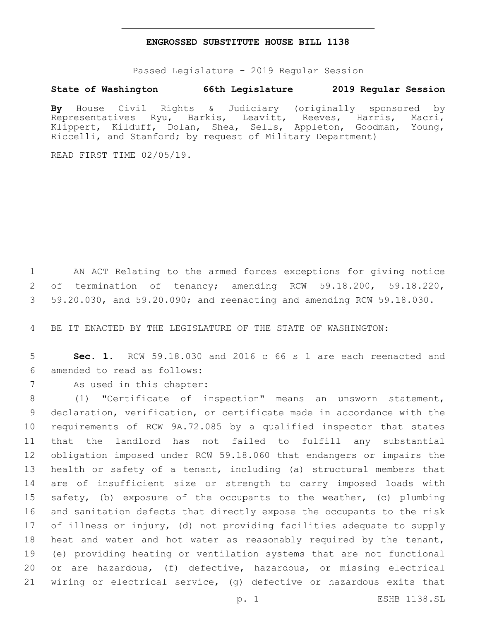### **ENGROSSED SUBSTITUTE HOUSE BILL 1138**

Passed Legislature - 2019 Regular Session

## **State of Washington 66th Legislature 2019 Regular Session**

**By** House Civil Rights & Judiciary (originally sponsored by Representatives Ryu, Barkis, Leavitt, Reeves, Harris, Macri, Klippert, Kilduff, Dolan, Shea, Sells, Appleton, Goodman, Young, Riccelli, and Stanford; by request of Military Department)

READ FIRST TIME 02/05/19.

 AN ACT Relating to the armed forces exceptions for giving notice of termination of tenancy; amending RCW 59.18.200, 59.18.220, 59.20.030, and 59.20.090; and reenacting and amending RCW 59.18.030.

BE IT ENACTED BY THE LEGISLATURE OF THE STATE OF WASHINGTON:

 **Sec. 1.** RCW 59.18.030 and 2016 c 66 s 1 are each reenacted and amended to read as follows:6

7 As used in this chapter:

 (1) "Certificate of inspection" means an unsworn statement, declaration, verification, or certificate made in accordance with the requirements of RCW 9A.72.085 by a qualified inspector that states that the landlord has not failed to fulfill any substantial obligation imposed under RCW 59.18.060 that endangers or impairs the health or safety of a tenant, including (a) structural members that are of insufficient size or strength to carry imposed loads with safety, (b) exposure of the occupants to the weather, (c) plumbing and sanitation defects that directly expose the occupants to the risk of illness or injury, (d) not providing facilities adequate to supply heat and water and hot water as reasonably required by the tenant, (e) providing heating or ventilation systems that are not functional or are hazardous, (f) defective, hazardous, or missing electrical wiring or electrical service, (g) defective or hazardous exits that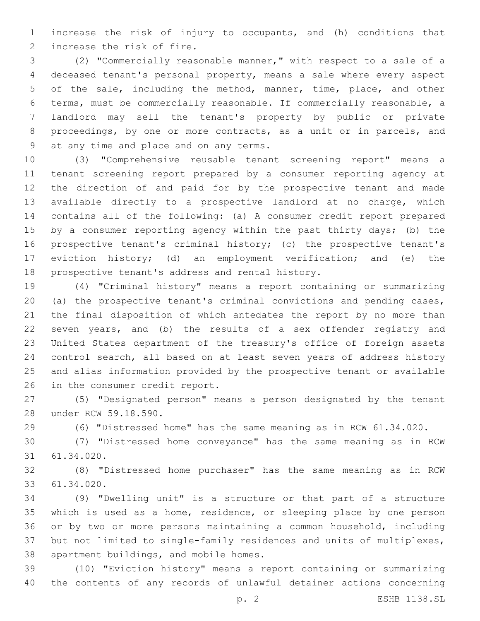increase the risk of injury to occupants, and (h) conditions that 2 increase the risk of fire.

 (2) "Commercially reasonable manner," with respect to a sale of a deceased tenant's personal property, means a sale where every aspect of the sale, including the method, manner, time, place, and other terms, must be commercially reasonable. If commercially reasonable, a landlord may sell the tenant's property by public or private proceedings, by one or more contracts, as a unit or in parcels, and 9 at any time and place and on any terms.

 (3) "Comprehensive reusable tenant screening report" means a tenant screening report prepared by a consumer reporting agency at the direction of and paid for by the prospective tenant and made available directly to a prospective landlord at no charge, which contains all of the following: (a) A consumer credit report prepared 15 by a consumer reporting agency within the past thirty days; (b) the prospective tenant's criminal history; (c) the prospective tenant's eviction history; (d) an employment verification; and (e) the 18 prospective tenant's address and rental history.

 (4) "Criminal history" means a report containing or summarizing (a) the prospective tenant's criminal convictions and pending cases, the final disposition of which antedates the report by no more than seven years, and (b) the results of a sex offender registry and United States department of the treasury's office of foreign assets control search, all based on at least seven years of address history and alias information provided by the prospective tenant or available 26 in the consumer credit report.

 (5) "Designated person" means a person designated by the tenant 28 under RCW 59.18.590.

(6) "Distressed home" has the same meaning as in RCW 61.34.020.

 (7) "Distressed home conveyance" has the same meaning as in RCW 31 61.34.020.

 (8) "Distressed home purchaser" has the same meaning as in RCW 61.34.020.33

 (9) "Dwelling unit" is a structure or that part of a structure which is used as a home, residence, or sleeping place by one person or by two or more persons maintaining a common household, including but not limited to single-family residences and units of multiplexes, 38 apartment buildings, and mobile homes.

 (10) "Eviction history" means a report containing or summarizing the contents of any records of unlawful detainer actions concerning

p. 2 ESHB 1138.SL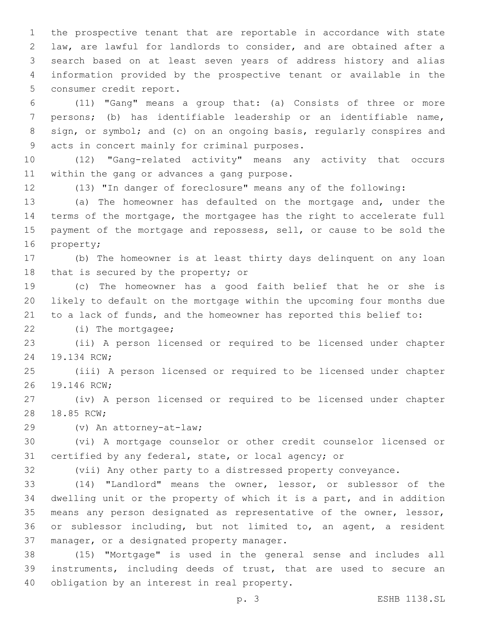the prospective tenant that are reportable in accordance with state law, are lawful for landlords to consider, and are obtained after a search based on at least seven years of address history and alias information provided by the prospective tenant or available in the 5 consumer credit report.

 (11) "Gang" means a group that: (a) Consists of three or more persons; (b) has identifiable leadership or an identifiable name, sign, or symbol; and (c) on an ongoing basis, regularly conspires and 9 acts in concert mainly for criminal purposes.

 (12) "Gang-related activity" means any activity that occurs 11 within the gang or advances a gang purpose.

(13) "In danger of foreclosure" means any of the following:

 (a) The homeowner has defaulted on the mortgage and, under the terms of the mortgage, the mortgagee has the right to accelerate full payment of the mortgage and repossess, sell, or cause to be sold the 16 property;

 (b) The homeowner is at least thirty days delinquent on any loan 18 that is secured by the property; or

 (c) The homeowner has a good faith belief that he or she is likely to default on the mortgage within the upcoming four months due to a lack of funds, and the homeowner has reported this belief to:

22 (i) The mortgagee;

 (ii) A person licensed or required to be licensed under chapter 24 19.134 RCW;

 (iii) A person licensed or required to be licensed under chapter 26 19.146 RCW;

 (iv) A person licensed or required to be licensed under chapter 28 18.85 RCW;

(v) An attorney-at-law;29

 (vi) A mortgage counselor or other credit counselor licensed or certified by any federal, state, or local agency; or

(vii) Any other party to a distressed property conveyance.

 (14) "Landlord" means the owner, lessor, or sublessor of the dwelling unit or the property of which it is a part, and in addition means any person designated as representative of the owner, lessor, or sublessor including, but not limited to, an agent, a resident 37 manager, or a designated property manager.

 (15) "Mortgage" is used in the general sense and includes all instruments, including deeds of trust, that are used to secure an 40 obligation by an interest in real property.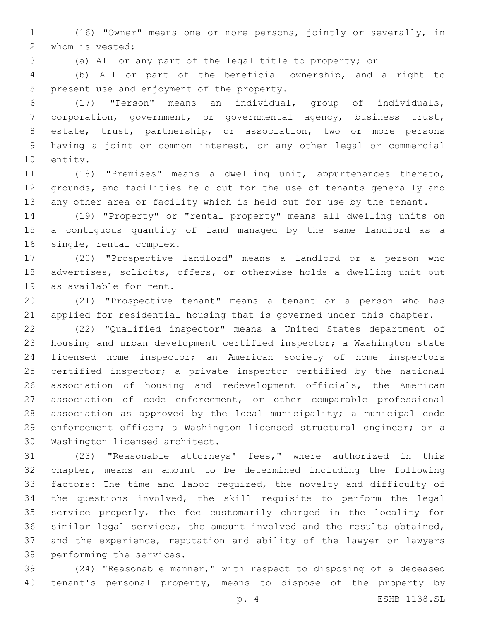(16) "Owner" means one or more persons, jointly or severally, in 2 whom is vested:

(a) All or any part of the legal title to property; or

 (b) All or part of the beneficial ownership, and a right to 5 present use and enjoyment of the property.

 (17) "Person" means an individual, group of individuals, corporation, government, or governmental agency, business trust, estate, trust, partnership, or association, two or more persons having a joint or common interest, or any other legal or commercial 10 entity.

 (18) "Premises" means a dwelling unit, appurtenances thereto, grounds, and facilities held out for the use of tenants generally and any other area or facility which is held out for use by the tenant.

 (19) "Property" or "rental property" means all dwelling units on a contiguous quantity of land managed by the same landlord as a 16 single, rental complex.

 (20) "Prospective landlord" means a landlord or a person who advertises, solicits, offers, or otherwise holds a dwelling unit out 19 as available for rent.

 (21) "Prospective tenant" means a tenant or a person who has applied for residential housing that is governed under this chapter.

 (22) "Qualified inspector" means a United States department of housing and urban development certified inspector; a Washington state licensed home inspector; an American society of home inspectors 25 certified inspector; a private inspector certified by the national association of housing and redevelopment officials, the American association of code enforcement, or other comparable professional association as approved by the local municipality; a municipal code enforcement officer; a Washington licensed structural engineer; or a 30 Washington licensed architect.

 (23) "Reasonable attorneys' fees," where authorized in this chapter, means an amount to be determined including the following factors: The time and labor required, the novelty and difficulty of the questions involved, the skill requisite to perform the legal service properly, the fee customarily charged in the locality for similar legal services, the amount involved and the results obtained, and the experience, reputation and ability of the lawyer or lawyers 38 performing the services.

 (24) "Reasonable manner," with respect to disposing of a deceased tenant's personal property, means to dispose of the property by

p. 4 ESHB 1138.SL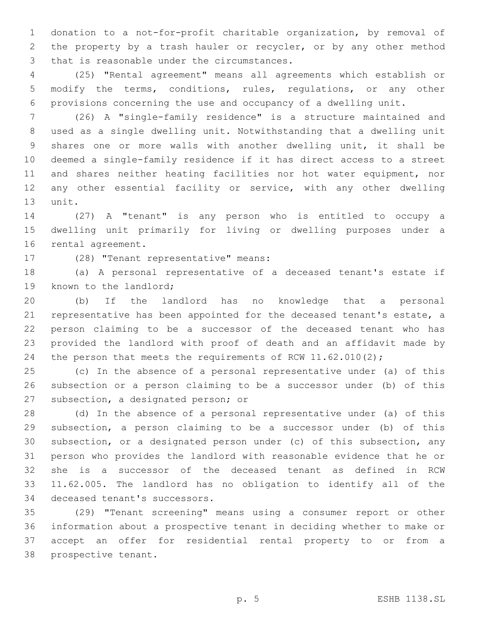donation to a not-for-profit charitable organization, by removal of the property by a trash hauler or recycler, or by any other method 3 that is reasonable under the circumstances.

 (25) "Rental agreement" means all agreements which establish or modify the terms, conditions, rules, regulations, or any other provisions concerning the use and occupancy of a dwelling unit.

 (26) A "single-family residence" is a structure maintained and used as a single dwelling unit. Notwithstanding that a dwelling unit shares one or more walls with another dwelling unit, it shall be deemed a single-family residence if it has direct access to a street and shares neither heating facilities nor hot water equipment, nor any other essential facility or service, with any other dwelling 13 unit.

 (27) A "tenant" is any person who is entitled to occupy a dwelling unit primarily for living or dwelling purposes under a 16 rental agreement.

17 (28) "Tenant representative" means:

 (a) A personal representative of a deceased tenant's estate if 19 known to the landlord;

 (b) If the landlord has no knowledge that a personal representative has been appointed for the deceased tenant's estate, a person claiming to be a successor of the deceased tenant who has provided the landlord with proof of death and an affidavit made by 24 the person that meets the requirements of RCW 11.62.010(2);

 (c) In the absence of a personal representative under (a) of this subsection or a person claiming to be a successor under (b) of this 27 subsection, a designated person; or

 (d) In the absence of a personal representative under (a) of this subsection, a person claiming to be a successor under (b) of this subsection, or a designated person under (c) of this subsection, any person who provides the landlord with reasonable evidence that he or she is a successor of the deceased tenant as defined in RCW 11.62.005. The landlord has no obligation to identify all of the 34 deceased tenant's successors.

 (29) "Tenant screening" means using a consumer report or other information about a prospective tenant in deciding whether to make or accept an offer for residential rental property to or from a 38 prospective tenant.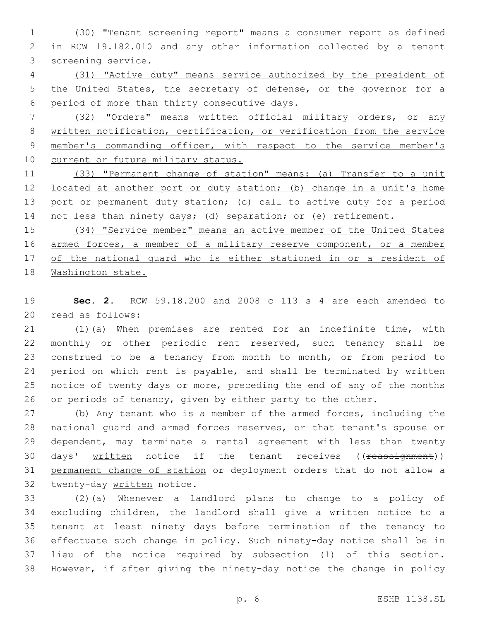(30) "Tenant screening report" means a consumer report as defined in RCW 19.182.010 and any other information collected by a tenant 3 screening service.

 (31) "Active duty" means service authorized by the president of 5 the United States, the secretary of defense, or the governor for a period of more than thirty consecutive days.

 (32) "Orders" means written official military orders, or any written notification, certification, or verification from the service member's commanding officer, with respect to the service member's 10 current or future military status.

11 (33) "Permanent change of station" means: (a) Transfer to a unit located at another port or duty station; (b) change in a unit's home 13 port or permanent duty station; (c) call to active duty for a period 14 not less than ninety days; (d) separation; or (e) retirement.

15 (34) "Service member" means an active member of the United States 16 armed forces, a member of a military reserve component, or a member 17 of the national quard who is either stationed in or a resident of Washington state.

 **Sec. 2.** RCW 59.18.200 and 2008 c 113 s 4 are each amended to 20 read as follows:

 (1)(a) When premises are rented for an indefinite time, with monthly or other periodic rent reserved, such tenancy shall be construed to be a tenancy from month to month, or from period to period on which rent is payable, and shall be terminated by written notice of twenty days or more, preceding the end of any of the months or periods of tenancy, given by either party to the other.

 (b) Any tenant who is a member of the armed forces, including the national guard and armed forces reserves, or that tenant's spouse or dependent, may terminate a rental agreement with less than twenty 30 days' written notice if the tenant receives ((reassignment)) permanent change of station or deployment orders that do not allow a 32 twenty-day written notice.

 (2)(a) Whenever a landlord plans to change to a policy of excluding children, the landlord shall give a written notice to a tenant at least ninety days before termination of the tenancy to effectuate such change in policy. Such ninety-day notice shall be in lieu of the notice required by subsection (1) of this section. However, if after giving the ninety-day notice the change in policy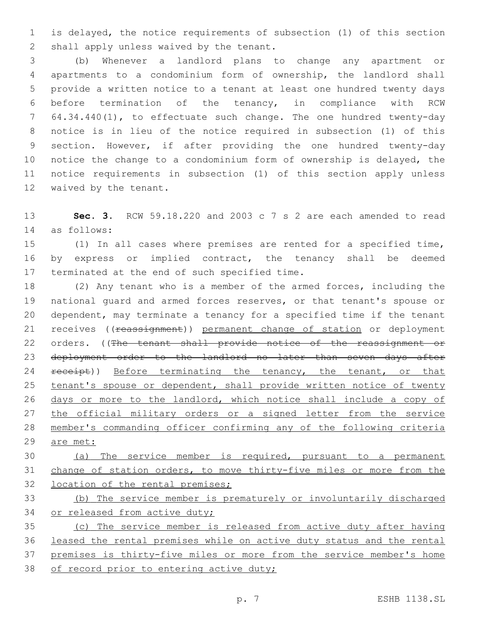is delayed, the notice requirements of subsection (1) of this section 2 shall apply unless waived by the tenant.

 (b) Whenever a landlord plans to change any apartment or apartments to a condominium form of ownership, the landlord shall provide a written notice to a tenant at least one hundred twenty days before termination of the tenancy, in compliance with RCW 64.34.440(1), to effectuate such change. The one hundred twenty-day notice is in lieu of the notice required in subsection (1) of this section. However, if after providing the one hundred twenty-day notice the change to a condominium form of ownership is delayed, the notice requirements in subsection (1) of this section apply unless 12 waived by the tenant.

 **Sec. 3.** RCW 59.18.220 and 2003 c 7 s 2 are each amended to read as follows:14

 (1) In all cases where premises are rented for a specified time, by express or implied contract, the tenancy shall be deemed 17 terminated at the end of such specified time.

 (2) Any tenant who is a member of the armed forces, including the national guard and armed forces reserves, or that tenant's spouse or dependent, may terminate a tenancy for a specified time if the tenant 21 receives ((reassignment)) permanent change of station or deployment 22 orders. ((The tenant shall provide notice of the reassignment or deployment order to the landlord no later than seven days after 24 receipt)) Before terminating the tenancy, the tenant, or that tenant's spouse or dependent, shall provide written notice of twenty days or more to the landlord, which notice shall include a copy of 27 the official military orders or a signed letter from the service member's commanding officer confirming any of the following criteria 29 are met:

 (a) The service member is required, pursuant to a permanent change of station orders, to move thirty-five miles or more from the 32 location of the rental premises;

 (b) The service member is prematurely or involuntarily discharged 34 or released from active duty;

 (c) The service member is released from active duty after having leased the rental premises while on active duty status and the rental premises is thirty-five miles or more from the service member's home 38 of record prior to entering active duty;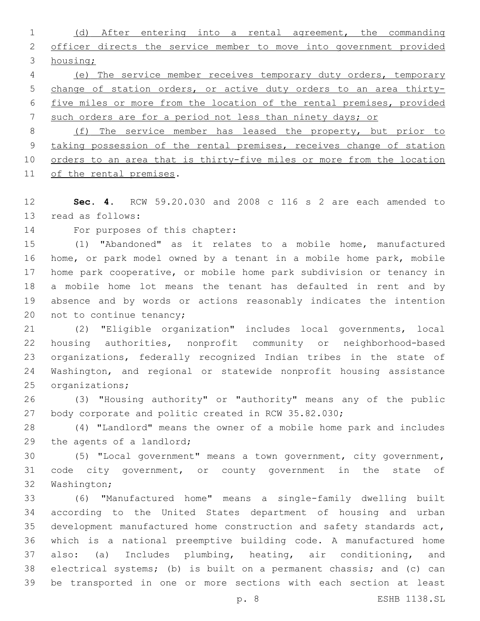(d) After entering into a rental agreement, the commanding 2 officer directs the service member to move into government provided housing; (e) The service member receives temporary duty orders, temporary change of station orders, or active duty orders to an area thirty-

five miles or more from the location of the rental premises, provided

such orders are for a period not less than ninety days; or

 (f) The service member has leased the property, but prior to taking possession of the rental premises, receives change of station orders to an area that is thirty-five miles or more from the location 11 of the rental premises.

 **Sec. 4.** RCW 59.20.030 and 2008 c 116 s 2 are each amended to 13 read as follows:

14 For purposes of this chapter:

 (1) "Abandoned" as it relates to a mobile home, manufactured home, or park model owned by a tenant in a mobile home park, mobile home park cooperative, or mobile home park subdivision or tenancy in a mobile home lot means the tenant has defaulted in rent and by absence and by words or actions reasonably indicates the intention 20 not to continue tenancy;

 (2) "Eligible organization" includes local governments, local housing authorities, nonprofit community or neighborhood-based organizations, federally recognized Indian tribes in the state of Washington, and regional or statewide nonprofit housing assistance 25 organizations;

 (3) "Housing authority" or "authority" means any of the public 27 body corporate and politic created in RCW 35.82.030;

 (4) "Landlord" means the owner of a mobile home park and includes 29 the agents of a landlord;

 (5) "Local government" means a town government, city government, code city government, or county government in the state of 32 Washington;

 (6) "Manufactured home" means a single-family dwelling built according to the United States department of housing and urban development manufactured home construction and safety standards act, which is a national preemptive building code. A manufactured home also: (a) Includes plumbing, heating, air conditioning, and electrical systems; (b) is built on a permanent chassis; and (c) can be transported in one or more sections with each section at least

p. 8 ESHB 1138.SL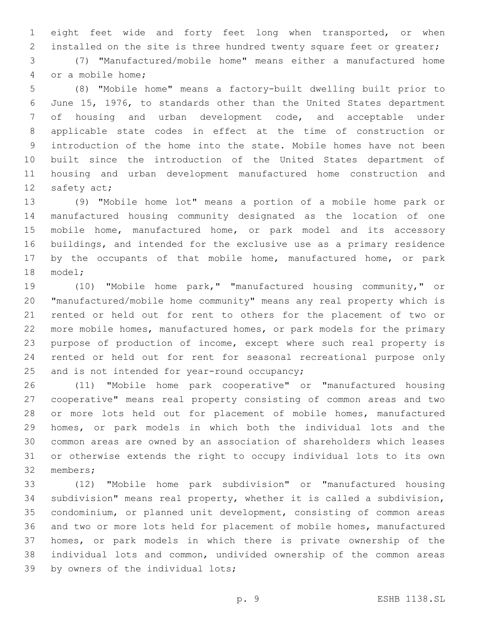eight feet wide and forty feet long when transported, or when 2 installed on the site is three hundred twenty square feet or greater;

 (7) "Manufactured/mobile home" means either a manufactured home 4 or a mobile home;

 (8) "Mobile home" means a factory-built dwelling built prior to June 15, 1976, to standards other than the United States department of housing and urban development code, and acceptable under applicable state codes in effect at the time of construction or introduction of the home into the state. Mobile homes have not been built since the introduction of the United States department of housing and urban development manufactured home construction and 12 safety act;

 (9) "Mobile home lot" means a portion of a mobile home park or manufactured housing community designated as the location of one mobile home, manufactured home, or park model and its accessory buildings, and intended for the exclusive use as a primary residence 17 by the occupants of that mobile home, manufactured home, or park 18 model;

 (10) "Mobile home park," "manufactured housing community," or "manufactured/mobile home community" means any real property which is rented or held out for rent to others for the placement of two or more mobile homes, manufactured homes, or park models for the primary purpose of production of income, except where such real property is rented or held out for rent for seasonal recreational purpose only 25 and is not intended for year-round occupancy;

 (11) "Mobile home park cooperative" or "manufactured housing cooperative" means real property consisting of common areas and two 28 or more lots held out for placement of mobile homes, manufactured homes, or park models in which both the individual lots and the common areas are owned by an association of shareholders which leases or otherwise extends the right to occupy individual lots to its own 32 members;

 (12) "Mobile home park subdivision" or "manufactured housing subdivision" means real property, whether it is called a subdivision, condominium, or planned unit development, consisting of common areas and two or more lots held for placement of mobile homes, manufactured homes, or park models in which there is private ownership of the individual lots and common, undivided ownership of the common areas 39 by owners of the individual lots;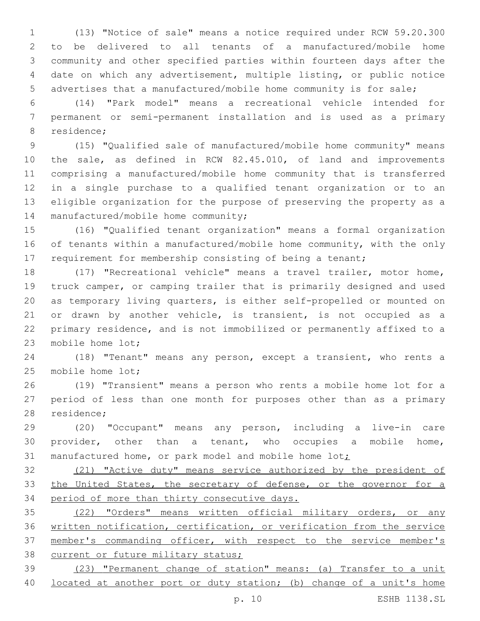(13) "Notice of sale" means a notice required under RCW 59.20.300 to be delivered to all tenants of a manufactured/mobile home community and other specified parties within fourteen days after the date on which any advertisement, multiple listing, or public notice advertises that a manufactured/mobile home community is for sale;

 (14) "Park model" means a recreational vehicle intended for permanent or semi-permanent installation and is used as a primary 8 residence;

 (15) "Qualified sale of manufactured/mobile home community" means the sale, as defined in RCW 82.45.010, of land and improvements comprising a manufactured/mobile home community that is transferred in a single purchase to a qualified tenant organization or to an eligible organization for the purpose of preserving the property as a 14 manufactured/mobile home community;

 (16) "Qualified tenant organization" means a formal organization of tenants within a manufactured/mobile home community, with the only requirement for membership consisting of being a tenant;

 (17) "Recreational vehicle" means a travel trailer, motor home, truck camper, or camping trailer that is primarily designed and used as temporary living quarters, is either self-propelled or mounted on or drawn by another vehicle, is transient, is not occupied as a primary residence, and is not immobilized or permanently affixed to a 23 mobile home lot;

 (18) "Tenant" means any person, except a transient, who rents a 25 mobile home lot;

 (19) "Transient" means a person who rents a mobile home lot for a period of less than one month for purposes other than as a primary 28 residence;

 (20) "Occupant" means any person, including a live-in care provider, other than a tenant, who occupies a mobile home, 31 manufactured home, or park model and mobile home lot;

 (21) "Active duty" means service authorized by the president of 33 the United States, the secretary of defense, or the governor for a period of more than thirty consecutive days.

 (22) "Orders" means written official military orders, or any written notification, certification, or verification from the service member's commanding officer, with respect to the service member's 38 current or future military status;

 (23) "Permanent change of station" means: (a) Transfer to a unit 40 located at another port or duty station; (b) change of a unit's home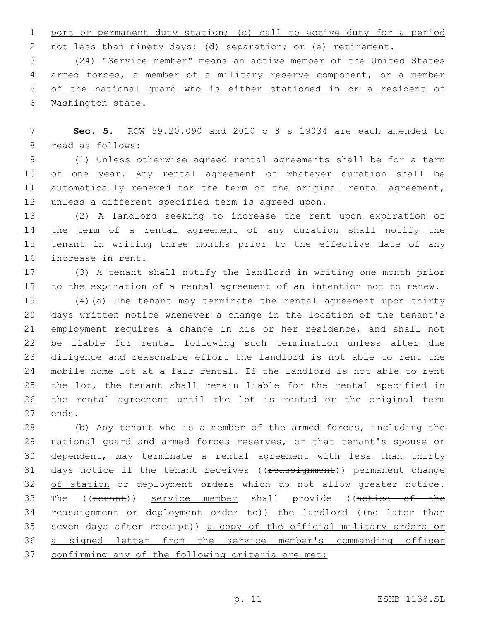port or permanent duty station; (c) call to active duty for a period 2 not less than ninety days; (d) separation; or (e) retirement.

 (24) "Service member" means an active member of the United States armed forces, a member of a military reserve component, or a member of the national guard who is either stationed in or a resident of 6 Washington state.

 **Sec. 5.** RCW 59.20.090 and 2010 c 8 s 19034 are each amended to 8 read as follows:

 (1) Unless otherwise agreed rental agreements shall be for a term of one year. Any rental agreement of whatever duration shall be automatically renewed for the term of the original rental agreement, 12 unless a different specified term is agreed upon.

 (2) A landlord seeking to increase the rent upon expiration of the term of a rental agreement of any duration shall notify the tenant in writing three months prior to the effective date of any 16 increase in rent.

 (3) A tenant shall notify the landlord in writing one month prior to the expiration of a rental agreement of an intention not to renew.

 (4)(a) The tenant may terminate the rental agreement upon thirty days written notice whenever a change in the location of the tenant's employment requires a change in his or her residence, and shall not be liable for rental following such termination unless after due diligence and reasonable effort the landlord is not able to rent the mobile home lot at a fair rental. If the landlord is not able to rent the lot, the tenant shall remain liable for the rental specified in the rental agreement until the lot is rented or the original term 27 ends.

 (b) Any tenant who is a member of the armed forces, including the national guard and armed forces reserves, or that tenant's spouse or dependent, may terminate a rental agreement with less than thirty 31 days notice if the tenant receives ((reassignment)) permanent change 32 of station or deployment orders which do not allow greater notice. 33 The ((tenant)) service member shall provide ((notice of the 34 reassignment or deployment order to)) the landlord ((no later than seven days after receipt)) a copy of the official military orders or a signed letter from the service member's commanding officer confirming any of the following criteria are met: